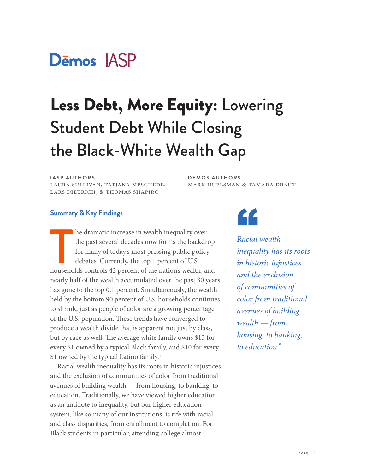

# Less Debt, More Equity: Lowering Student Debt While Closing the Black-White Wealth Gap

#### **IASP AUTHORS**

laura sullivan, tatjana meschede, lars dietrich, & thomas shapiro

**DĒMOS AUTHORS** mark huelsman & tamara draut

#### **Summary & Key Findings**

The dramatic increase in wealth inequality over<br>the past several decades now forms the backdrop<br>for many of today's most pressing public policy<br>debates. Currently, the top 1 percent of U.S.<br>households controls 42 percent o the past several decades now forms the backdrop for many of today's most pressing public policy debates. Currently, the top 1 percent of U.S. nearly half of the wealth accumulated over the past 30 years has gone to the top 0.1 percent. Simultaneously, the wealth held by the bottom 90 percent of U.S. households continues to shrink, just as people of color are a growing percentage of the U.S. population. These trends have converged to produce a wealth divide that is apparent not just by class, but by race as well. The average white family owns \$13 for every \$1 owned by a typical Black family, and \$10 for every \$1 owned by the typical Latino family.<sup>1</sup>

Racial wealth inequality has its roots in historic injustices and the exclusion of communities of color from traditional avenues of building wealth — from housing, to banking, to education. Traditionally, we have viewed higher education as an antidote to inequality, but our higher education system, like so many of our institutions, is rife with racial and class disparities, from enrollment to completion. For Black students in particular, attending college almost



*Racial wealth inequality has its roots in historic injustices and the exclusion of communities of color from traditional avenues of building wealth — from housing, to banking, to education."*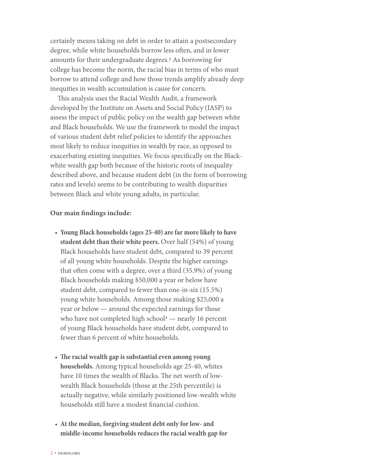certainly means taking on debt in order to attain a postsecondary degree, while white households borrow less often, and in lower amounts for their undergraduate degrees.2 As borrowing for college has become the norm, the racial bias in terms of who must borrow to attend college and how those trends amplify already deep inequities in wealth accumulation is cause for concern.

This analysis uses the Racial Wealth Audit, a framework developed by the Institute on Assets and Social Policy (IASP) to assess the impact of public policy on the wealth gap between white and Black households. We use the framework to model the impact of various student debt relief policies to identify the approaches most likely to reduce inequities in wealth by race, as opposed to exacerbating existing inequities. We focus specifically on the Blackwhite wealth gap both because of the historic roots of inequality described above, and because student debt (in the form of borrowing rates and levels) seems to be contributing to wealth disparities between Black and white young adults, in particular.

#### **Our main findings include:**

- **Young Black households (ages 25-40) are far more likely to have student debt than their white peers.** Over half (54%) of young Black households have student debt, compared to 39 percent of all young white households. Despite the higher earnings that often come with a degree, over a third (35.9%) of young Black households making \$50,000 a year or below have student debt, compared to fewer than one-in-six (15.5%) young white households. Among those making \$25,000 a year or below — around the expected earnings for those who have not completed high school<sup>3</sup> — nearly 16 percent of young Black households have student debt, compared to fewer than 6 percent of white households.
- **The racial wealth gap is substantial even among young households.** Among typical households age 25-40, whites have 10 times the wealth of Blacks. The net worth of lowwealth Black households (those at the 25th percentile) is actually negative, while similarly positioned low-wealth white households still have a modest financial cushion.
- **At the median, forgiving student debt only for low- and middle-income households reduces the racial wealth gap for**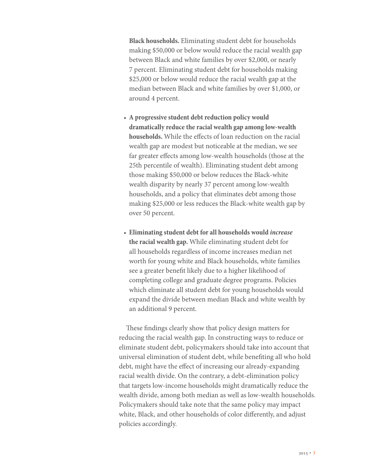**Black households.** Eliminating student debt for households making \$50,000 or below would reduce the racial wealth gap between Black and white families by over \$2,000, or nearly 7 percent. Eliminating student debt for households making \$25,000 or below would reduce the racial wealth gap at the median between Black and white families by over \$1,000, or around 4 percent.

- **A progressive student debt reduction policy would dramatically reduce the racial wealth gap among low-wealth households.** While the effects of loan reduction on the racial wealth gap are modest but noticeable at the median, we see far greater effects among low-wealth households (those at the 25th percentile of wealth). Eliminating student debt among those making \$50,000 or below reduces the Black-white wealth disparity by nearly 37 percent among low-wealth households, and a policy that eliminates debt among those making \$25,000 or less reduces the Black-white wealth gap by over 50 percent.
- **Eliminating student debt for all households would** *increase*  **the racial wealth gap.** While eliminating student debt for all households regardless of income increases median net worth for young white and Black households, white families see a greater benefit likely due to a higher likelihood of completing college and graduate degree programs. Policies which eliminate all student debt for young households would expand the divide between median Black and white wealth by an additional 9 percent.

These findings clearly show that policy design matters for reducing the racial wealth gap. In constructing ways to reduce or eliminate student debt, policymakers should take into account that universal elimination of student debt, while benefiting all who hold debt, might have the effect of increasing our already-expanding racial wealth divide. On the contrary, a debt-elimination policy that targets low-income households might dramatically reduce the wealth divide, among both median as well as low-wealth households. Policymakers should take note that the same policy may impact white, Black, and other households of color differently, and adjust policies accordingly.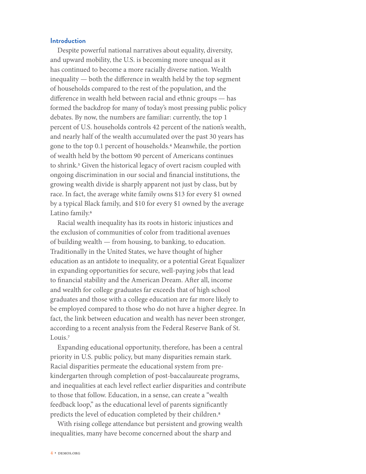#### **Introduction**

Despite powerful national narratives about equality, diversity, and upward mobility, the U.S. is becoming more unequal as it has continued to become a more racially diverse nation. Wealth inequality — both the difference in wealth held by the top segment of households compared to the rest of the population, and the difference in wealth held between racial and ethnic groups — has formed the backdrop for many of today's most pressing public policy debates. By now, the numbers are familiar: currently, the top 1 percent of U.S. households controls 42 percent of the nation's wealth, and nearly half of the wealth accumulated over the past 30 years has gone to the top 0.1 percent of households.4 Meanwhile, the portion of wealth held by the bottom 90 percent of Americans continues to shrink.<sup>5</sup> Given the historical legacy of overt racism coupled with ongoing discrimination in our social and financial institutions, the growing wealth divide is sharply apparent not just by class, but by race. In fact, the average white family owns \$13 for every \$1 owned by a typical Black family, and \$10 for every \$1 owned by the average Latino family.<sup>6</sup>

Racial wealth inequality has its roots in historic injustices and the exclusion of communities of color from traditional avenues of building wealth — from housing, to banking, to education. Traditionally in the United States, we have thought of higher education as an antidote to inequality, or a potential Great Equalizer in expanding opportunities for secure, well-paying jobs that lead to financial stability and the American Dream. After all, income and wealth for college graduates far exceeds that of high school graduates and those with a college education are far more likely to be employed compared to those who do not have a higher degree. In fact, the link between education and wealth has never been stronger, according to a recent analysis from the Federal Reserve Bank of St. Louis.<sup>7</sup>

Expanding educational opportunity, therefore, has been a central priority in U.S. public policy, but many disparities remain stark. Racial disparities permeate the educational system from prekindergarten through completion of post-baccalaureate programs, and inequalities at each level reflect earlier disparities and contribute to those that follow. Education, in a sense, can create a "wealth feedback loop," as the educational level of parents significantly predicts the level of education completed by their children.<sup>8</sup>

With rising college attendance but persistent and growing wealth inequalities, many have become concerned about the sharp and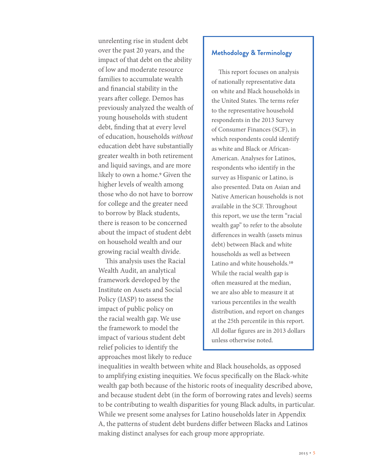unrelenting rise in student debt over the past 20 years, and the impact of that debt on the ability of low and moderate resource families to accumulate wealth and financial stability in the years after college. Demos has previously analyzed the wealth of young households with student debt, finding that at every level of education, households *without* education debt have substantially greater wealth in both retirement and liquid savings, and are more likely to own a home.<sup>9</sup> Given the higher levels of wealth among those who do not have to borrow for college and the greater need to borrow by Black students, there is reason to be concerned about the impact of student debt on household wealth and our growing racial wealth divide.

This analysis uses the Racial Wealth Audit, an analytical framework developed by the Institute on Assets and Social Policy (IASP) to assess the impact of public policy on the racial wealth gap. We use the framework to model the impact of various student debt relief policies to identify the approaches most likely to reduce

### **Methodology & Terminology**

This report focuses on analysis of nationally representative data on white and Black households in the United States. The terms refer to the representative household respondents in the 2013 Survey of Consumer Finances (SCF), in which respondents could identify as white and Black or African-American. Analyses for Latinos, respondents who identify in the survey as Hispanic or Latino, is also presented. Data on Asian and Native American households is not available in the SCF. Throughout this report, we use the term "racial wealth gap" to refer to the absolute differences in wealth (assets minus debt) between Black and white households as well as between Latino and white households.<sup>10</sup> While the racial wealth gap is often measured at the median, we are also able to measure it at various percentiles in the wealth distribution, and report on changes at the 25th percentile in this report. All dollar figures are in 2013 dollars unless otherwise noted.

inequalities in wealth between white and Black households, as opposed to amplifying existing inequities. We focus specifically on the Black-white wealth gap both because of the historic roots of inequality described above, and because student debt (in the form of borrowing rates and levels) seems to be contributing to wealth disparities for young Black adults, in particular. While we present some analyses for Latino households later in Appendix A, the patterns of student debt burdens differ between Blacks and Latinos making distinct analyses for each group more appropriate.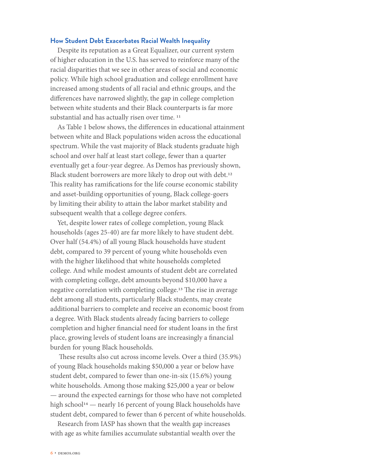#### **How Student Debt Exacerbates Racial Wealth Inequality**

Despite its reputation as a Great Equalizer, our current system of higher education in the U.S. has served to reinforce many of the racial disparities that we see in other areas of social and economic policy. While high school graduation and college enrollment have increased among students of all racial and ethnic groups, and the differences have narrowed slightly, the gap in college completion between white students and their Black counterparts is far more substantial and has actually risen over time. 11

As Table 1 below shows, the differences in educational attainment between white and Black populations widen across the educational spectrum. While the vast majority of Black students graduate high school and over half at least start college, fewer than a quarter eventually get a four-year degree. As Demos has previously shown, Black student borrowers are more likely to drop out with debt.<sup>12</sup> This reality has ramifications for the life course economic stability and asset-building opportunities of young, Black college-goers by limiting their ability to attain the labor market stability and subsequent wealth that a college degree confers.

Yet, despite lower rates of college completion, young Black households (ages 25-40) are far more likely to have student debt. Over half (54.4%) of all young Black households have student debt, compared to 39 percent of young white households even with the higher likelihood that white households completed college. And while modest amounts of student debt are correlated with completing college, debt amounts beyond \$10,000 have a negative correlation with completing college.13 The rise in average debt among all students, particularly Black students, may create additional barriers to complete and receive an economic boost from a degree. With Black students already facing barriers to college completion and higher financial need for student loans in the first place, growing levels of student loans are increasingly a financial burden for young Black households.

 These results also cut across income levels. Over a third (35.9%) of young Black households making \$50,000 a year or below have student debt, compared to fewer than one-in-six (15.6%) young white households. Among those making \$25,000 a year or below — around the expected earnings for those who have not completed high school<sup>14</sup> — nearly 16 percent of young Black households have student debt, compared to fewer than 6 percent of white households.

Research from IASP has shown that the wealth gap increases with age as white families accumulate substantial wealth over the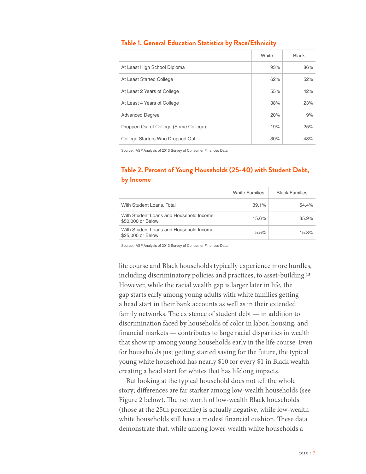|                                       | White | <b>Black</b> |
|---------------------------------------|-------|--------------|
| At Least High School Diploma          | 93%   | 86%          |
| At Least Started College              | 62%   | 52%          |
| At Least 2 Years of College           | 55%   | 42%          |
| At Least 4 Years of College           | 38%   | 23%          |
| <b>Advanced Degree</b>                | 20%   | 9%           |
| Dropped Out of College (Some College) | 19%   | 25%          |
| College Starters Who Dropped Out      | 30%   | 48%          |

#### **Table 1. General Education Statistics by Race/Ethnicity**

Source: IASP Analysis of 2013 Survey of Consumer Finances Data

## **Table 2. Percent of Young Households (25-40) with Student Debt, by Income**

|                                                              | <b>White Families</b> | <b>Black Families</b> |
|--------------------------------------------------------------|-----------------------|-----------------------|
| With Student Loans, Total                                    | 39.1%                 | $54.4\%$              |
| With Student Loans and Household Income<br>\$50,000 or Below | 15.6%                 | 35.9%                 |
| With Student Loans and Household Income<br>\$25,000 or Below | 5.5%                  | 15.8%                 |

Source: IASP Analysis of 2013 Survey of Consumer Finances Data

life course and Black households typically experience more hurdles, including discriminatory policies and practices, to asset-building.15 However, while the racial wealth gap is larger later in life, the gap starts early among young adults with white families getting a head start in their bank accounts as well as in their extended family networks. The existence of student debt — in addition to discrimination faced by households of color in labor, housing, and financial markets — contributes to large racial disparities in wealth that show up among young households early in the life course. Even for households just getting started saving for the future, the typical young white household has nearly \$10 for every \$1 in Black wealth creating a head start for whites that has lifelong impacts.

But looking at the typical household does not tell the whole story; differences are far starker among low-wealth households (see Figure 2 below). The net worth of low-wealth Black households (those at the 25th percentile) is actually negative, while low-wealth white households still have a modest financial cushion. These data demonstrate that, while among lower-wealth white households a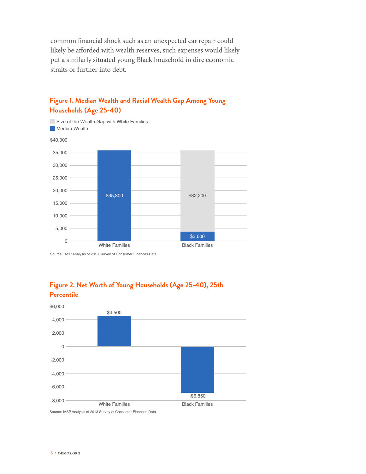common financial shock such as an unexpected car repair could likely be afforded with wealth reserves, such expenses would likely put a similarly situated young Black household in dire economic straits or further into debt.



## **Figure 1. Median Wealth and Racial Wealth Gap Among Young Households (Age 25-40)**

Source: IASP Analysis of 2013 Survey of Consumer Finances Data





Source: IASP Analysis of 2013 Survey of Consumer Finances Data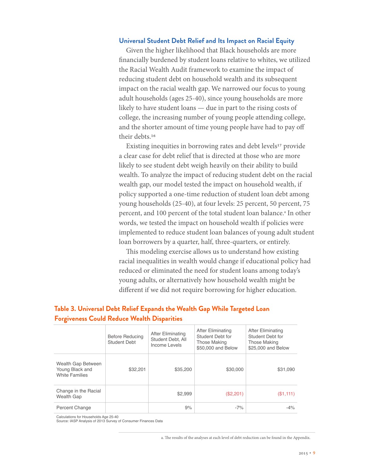#### **Universal Student Debt Relief and Its Impact on Racial Equity**

Given the higher likelihood that Black households are more financially burdened by student loans relative to whites, we utilized the Racial Wealth Audit framework to examine the impact of reducing student debt on household wealth and its subsequent impact on the racial wealth gap. We narrowed our focus to young adult households (ages 25-40), since young households are more likely to have student loans — due in part to the rising costs of college, the increasing number of young people attending college, and the shorter amount of time young people have had to pay off their debts.<sup>16</sup>

Existing inequities in borrowing rates and debt levels<sup>17</sup> provide a clear case for debt relief that is directed at those who are more likely to see student debt weigh heavily on their ability to build wealth. To analyze the impact of reducing student debt on the racial wealth gap, our model tested the impact on household wealth, if policy supported a one-time reduction of student loan debt among young households (25-40), at four levels: 25 percent, 50 percent, 75 percent, and 100 percent of the total student loan balance.<sup>a</sup> In other words, we tested the impact on household wealth if policies were implemented to reduce student loan balances of young adult student loan borrowers by a quarter, half, three-quarters, or entirely.

This modeling exercise allows us to understand how existing racial inequalities in wealth would change if educational policy had reduced or eliminated the need for student loans among today's young adults, or alternatively how household wealth might be different if we did not require borrowing for higher education.

## **Table 3. Universal Debt Relief Expands the Wealth Gap While Targeted Loan Forgiveness Could Reduce Wealth Disparities**

|                                                                | <b>Before Reducing</b><br>Student Debt | After Eliminating<br>Student Debt, All<br>Income Levels | After Eliminating<br>Student Debt for<br><b>Those Making</b><br>\$50,000 and Below | <b>After Eliminating</b><br>Student Debt for<br><b>Those Making</b><br>\$25,000 and Below |
|----------------------------------------------------------------|----------------------------------------|---------------------------------------------------------|------------------------------------------------------------------------------------|-------------------------------------------------------------------------------------------|
| Wealth Gap Between<br>Young Black and<br><b>White Families</b> | \$32,201                               | \$35,200                                                | \$30,000                                                                           | \$31,090                                                                                  |
| Change in the Racial<br><b>Wealth Gap</b>                      |                                        | \$2.999                                                 | (\$2,201)                                                                          | (S1,111)                                                                                  |
| Percent Change                                                 |                                        | 9%                                                      | $-7%$                                                                              | $-4\%$                                                                                    |

Calculations for Households Age 25-40

Source: IASP Analysis of 2013 Survey of Consumer Finances Data

a. The results of the analyses at each level of debt reduction can be found in the Appendix.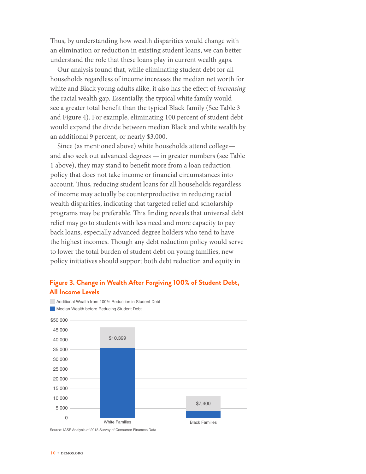Thus, by understanding how wealth disparities would change with an elimination or reduction in existing student loans, we can better understand the role that these loans play in current wealth gaps.

Our analysis found that, while eliminating student debt for all households regardless of income increases the median net worth for white and Black young adults alike, it also has the effect of *increasing* the racial wealth gap. Essentially, the typical white family would see a greater total benefit than the typical Black family (See Table 3 and Figure 4). For example, eliminating 100 percent of student debt would expand the divide between median Black and white wealth by an additional 9 percent, or nearly \$3,000.

Since (as mentioned above) white households attend college and also seek out advanced degrees — in greater numbers (see Table 1 above), they may stand to benefit more from a loan reduction policy that does not take income or financial circumstances into account. Thus, reducing student loans for all households regardless of income may actually be counterproductive in reducing racial wealth disparities, indicating that targeted relief and scholarship programs may be preferable. This finding reveals that universal debt relief may go to students with less need and more capacity to pay back loans, especially advanced degree holders who tend to have the highest incomes. Though any debt reduction policy would serve to lower the total burden of student debt on young families, new policy initiatives should support both debt reduction and equity in

## **Figure 3. Change in Wealth After Forgiving 100% of Student Debt, All Income Levels**

Additional Wealth from 100% Reduction in Student Debt Median Wealth before Reducing Student Debt \$50,000 45,000 40,000 35,000 30,000 25,000 20,000 15,000 10,000 5,000  $\Omega$ \$10,399 White Families **Black Families** \$7,400 Source: IASP Analysis of 2013 Survey of Consumer Finances Data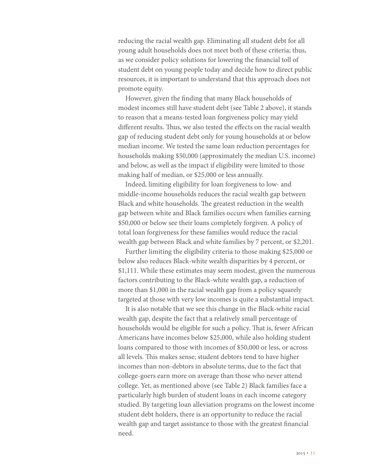reducing the racial wealth gap. Eliminating all student debt for all young adult households does not meet both of these criteria; thus, as we consider policy solutions for lowering the financial toll of student debt on young people today and decide how to direct public resources, it is important to understand that this approach does not promote equity.

However, given the finding that many Black households of modest incomes still have student debt (see Table 2 above), it stands to reason that a means-tested loan forgiveness policy may yield different results. Thus, we also tested the effects on the racial wealth gap of reducing student debt only for young households at or below median income. We tested the same loan reduction percentages for households making \$50,000 (approximately the median U.S. income) and below, as well as the impact if eligibility were limited to those making half of median, or \$25,000 or less annually.

Indeed, limiting eligibility for loan forgiveness to low- and middle-income households reduces the racial wealth gap between Black and white households. The greatest reduction in the wealth gap between white and Black families occurs when families earning \$50,000 or below see their loans completely forgiven. A policy of total loan forgiveness for these families would reduce the racial wealth gap between Black and white families by 7 percent, or \$2,201.

Further limiting the eligibility criteria to those making \$25,000 or below also reduces Black-white wealth disparities by 4 percent, or \$1,111. While these estimates may seem modest, given the numerous factors contributing to the Black-white wealth gap, a reduction of more than \$1,000 in the racial wealth gap from a policy squarely targeted at those with very low incomes is quite a substantial impact.

It is also notable that we see this change in the Black-white racial wealth gap, despite the fact that a relatively small percentage of households would be eligible for such a policy. That is, fewer African Americans have incomes below \$25,000, while also holding student loans compared to those with incomes of \$50,000 or less, or across all levels. This makes sense; student debtors tend to have higher incomes than non-debtors in absolute terms, due to the fact that college-goers earn more on average than those who never attend college. Yet, as mentioned above (see Table 2) Black families face a particularly high burden of student loans in each income category studied. By targeting loan alleviation programs on the lowest income student debt holders, there is an opportunity to reduce the racial wealth gap and target assistance to those with the greatest financial need.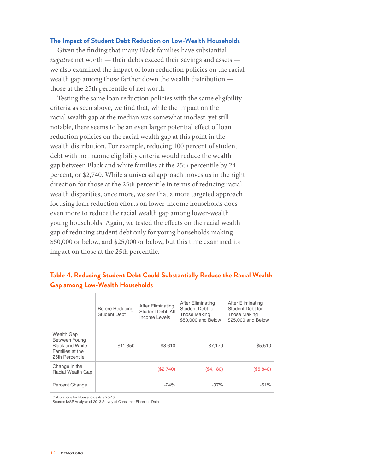#### **The Impact of Student Debt Reduction on Low-Wealth Households**

Given the finding that many Black families have substantial *negative* net worth — their debts exceed their savings and assets we also examined the impact of loan reduction policies on the racial wealth gap among those farther down the wealth distribution those at the 25th percentile of net worth.

Testing the same loan reduction policies with the same eligibility criteria as seen above, we find that, while the impact on the racial wealth gap at the median was somewhat modest, yet still notable, there seems to be an even larger potential effect of loan reduction policies on the racial wealth gap at this point in the wealth distribution. For example, reducing 100 percent of student debt with no income eligibility criteria would reduce the wealth gap between Black and white families at the 25th percentile by 24 percent, or \$2,740. While a universal approach moves us in the right direction for those at the 25th percentile in terms of reducing racial wealth disparities, once more, we see that a more targeted approach focusing loan reduction efforts on lower-income households does even more to reduce the racial wealth gap among lower-wealth young households. Again, we tested the effects on the racial wealth gap of reducing student debt only for young households making \$50,000 or below, and \$25,000 or below, but this time examined its impact on those at the 25th percentile.

## **Table 4. Reducing Student Debt Could Substantially Reduce the Racial Wealth Gap among Low-Wealth Households**

|                                                                                             | <b>Before Reducing</b><br><b>Student Debt</b> | After Eliminating<br>Student Debt, All<br>Income Levels | After Eliminating<br>Student Debt for<br><b>Those Making</b><br>\$50,000 and Below | After Eliminating<br>Student Debt for<br><b>Those Making</b><br>\$25,000 and Below |
|---------------------------------------------------------------------------------------------|-----------------------------------------------|---------------------------------------------------------|------------------------------------------------------------------------------------|------------------------------------------------------------------------------------|
| Wealth Gap<br>Between Young<br><b>Black and White</b><br>Families at the<br>25th Percentile | \$11,350                                      | \$8,610                                                 | \$7,170                                                                            | \$5,510                                                                            |
| Change in the<br><b>Racial Wealth Gap</b>                                                   |                                               | (\$2,740)                                               | (\$4,180)                                                                          | (\$5,840)                                                                          |
| Percent Change                                                                              |                                               | $-24%$                                                  | $-37%$                                                                             | $-51%$                                                                             |

Calculations for Households Age 25-40

Source: IASP Analysis of 2013 Survey of Consumer Finances Data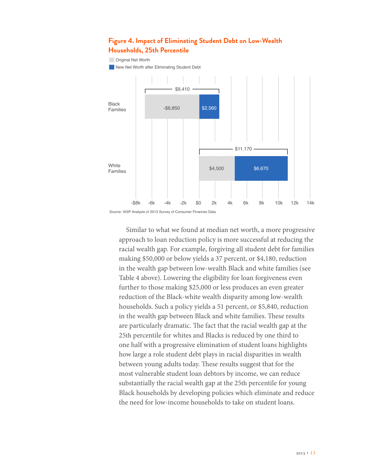### **Figure 4. Impact of Eliminating Student Debt on Low-Wealth Households, 25th Percentile**

#### **Original Net Worth**

**New Net Worth after Eliminating Student Debt** 





Similar to what we found at median net worth, a more progressive approach to loan reduction policy is more successful at reducing the racial wealth gap. For example, forgiving all student debt for families making \$50,000 or below yields a 37 percent, or \$4,180, reduction in the wealth gap between low-wealth Black and white families (see Table 4 above). Lowering the eligibility for loan forgiveness even further to those making \$25,000 or less produces an even greater reduction of the Black-white wealth disparity among low-wealth households. Such a policy yields a 51 percent, or \$5,840, reduction in the wealth gap between Black and white families. These results are particularly dramatic. The fact that the racial wealth gap at the 25th percentile for whites and Blacks is reduced by one third to one half with a progressive elimination of student loans highlights how large a role student debt plays in racial disparities in wealth between young adults today. These results suggest that for the most vulnerable student loan debtors by income, we can reduce substantially the racial wealth gap at the 25th percentile for young Black households by developing policies which eliminate and reduce the need for low-income households to take on student loans.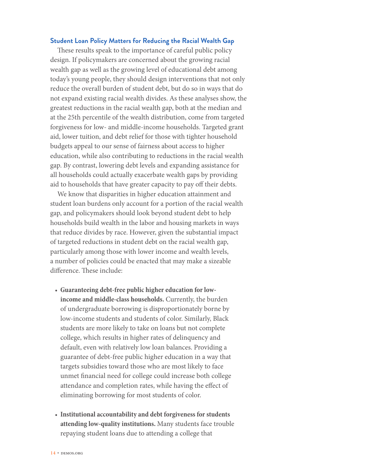#### **Student Loan Policy Matters for Reducing the Racial Wealth Gap**

These results speak to the importance of careful public policy design. If policymakers are concerned about the growing racial wealth gap as well as the growing level of educational debt among today's young people, they should design interventions that not only reduce the overall burden of student debt, but do so in ways that do not expand existing racial wealth divides. As these analyses show, the greatest reductions in the racial wealth gap, both at the median and at the 25th percentile of the wealth distribution, come from targeted forgiveness for low- and middle-income households. Targeted grant aid, lower tuition, and debt relief for those with tighter household budgets appeal to our sense of fairness about access to higher education, while also contributing to reductions in the racial wealth gap. By contrast, lowering debt levels and expanding assistance for all households could actually exacerbate wealth gaps by providing aid to households that have greater capacity to pay off their debts.

We know that disparities in higher education attainment and student loan burdens only account for a portion of the racial wealth gap, and policymakers should look beyond student debt to help households build wealth in the labor and housing markets in ways that reduce divides by race. However, given the substantial impact of targeted reductions in student debt on the racial wealth gap, particularly among those with lower income and wealth levels, a number of policies could be enacted that may make a sizeable difference. These include:

- **Guaranteeing debt-free public higher education for lowincome and middle-class households.** Currently, the burden of undergraduate borrowing is disproportionately borne by low-income students and students of color. Similarly, Black students are more likely to take on loans but not complete college, which results in higher rates of delinquency and default, even with relatively low loan balances. Providing a guarantee of debt-free public higher education in a way that targets subsidies toward those who are most likely to face unmet financial need for college could increase both college attendance and completion rates, while having the effect of eliminating borrowing for most students of color.
- **Institutional accountability and debt forgiveness for students attending low-quality institutions.** Many students face trouble repaying student loans due to attending a college that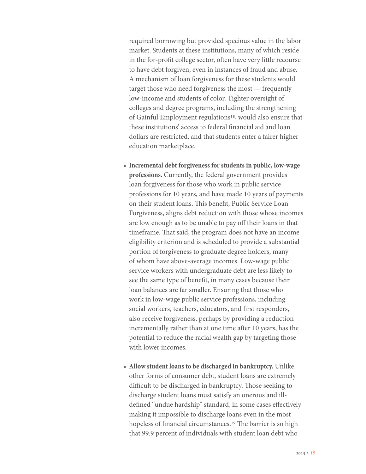required borrowing but provided specious value in the labor market. Students at these institutions, many of which reside in the for-profit college sector, often have very little recourse to have debt forgiven, even in instances of fraud and abuse. A mechanism of loan forgiveness for these students would target those who need forgiveness the most — frequently low-income and students of color. Tighter oversight of colleges and degree programs, including the strengthening of Gainful Employment regulations18, would also ensure that these institutions' access to federal financial aid and loan dollars are restricted, and that students enter a fairer higher education marketplace.

- **Incremental debt forgiveness for students in public, low-wage professions.** Currently, the federal government provides loan forgiveness for those who work in public service professions for 10 years, and have made 10 years of payments on their student loans. This benefit, Public Service Loan Forgiveness, aligns debt reduction with those whose incomes are low enough as to be unable to pay off their loans in that timeframe. That said, the program does not have an income eligibility criterion and is scheduled to provide a substantial portion of forgiveness to graduate degree holders, many of whom have above-average incomes. Low-wage public service workers with undergraduate debt are less likely to see the same type of benefit, in many cases because their loan balances are far smaller. Ensuring that those who work in low-wage public service professions, including social workers, teachers, educators, and first responders, also receive forgiveness, perhaps by providing a reduction incrementally rather than at one time after 10 years, has the potential to reduce the racial wealth gap by targeting those with lower incomes.
- **Allow student loans to be discharged in bankruptcy.** Unlike other forms of consumer debt, student loans are extremely difficult to be discharged in bankruptcy. Those seeking to discharge student loans must satisfy an onerous and illdefined "undue hardship" standard, in some cases effectively making it impossible to discharge loans even in the most hopeless of financial circumstances.<sup>19</sup> The barrier is so high that 99.9 percent of individuals with student loan debt who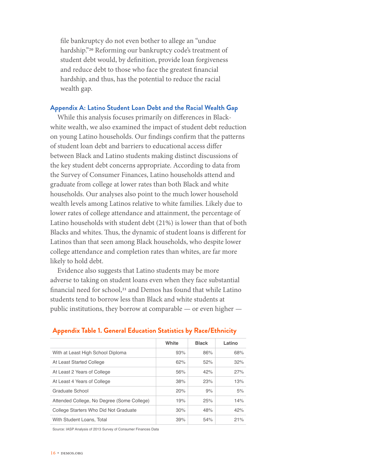file bankruptcy do not even bother to allege an "undue hardship."20 Reforming our bankruptcy code's treatment of student debt would, by definition, provide loan forgiveness and reduce debt to those who face the greatest financial hardship, and thus, has the potential to reduce the racial wealth gap.

#### **Appendix A: Latino Student Loan Debt and the Racial Wealth Gap**

While this analysis focuses primarily on differences in Blackwhite wealth, we also examined the impact of student debt reduction on young Latino households. Our findings confirm that the patterns of student loan debt and barriers to educational access differ between Black and Latino students making distinct discussions of the key student debt concerns appropriate. According to data from the Survey of Consumer Finances, Latino households attend and graduate from college at lower rates than both Black and white households. Our analyses also point to the much lower household wealth levels among Latinos relative to white families. Likely due to lower rates of college attendance and attainment, the percentage of Latino households with student debt (21%) is lower than that of both Blacks and whites. Thus, the dynamic of student loans is different for Latinos than that seen among Black households, who despite lower college attendance and completion rates than whites, are far more likely to hold debt.

Evidence also suggests that Latino students may be more adverse to taking on student loans even when they face substantial financial need for school,<sup>21</sup> and Demos has found that while Latino students tend to borrow less than Black and white students at public institutions, they borrow at comparable — or even higher —

|                                            | White | <b>Black</b> | Latino |
|--------------------------------------------|-------|--------------|--------|
| With at Least High School Diploma          | 93%   | 86%          | 68%    |
| At Least Started College                   | 62%   | 52%          | 32%    |
| At Least 2 Years of College                | 56%   | 42%          | 27%    |
| At Least 4 Years of College                | 38%   | 23%          | 13%    |
| Graduate School                            | 20%   | 9%           | 5%     |
| Attended College, No Degree (Some College) | 19%   | 25%          | 14%    |
| College Starters Who Did Not Graduate      | 30%   | 48%          | 42%    |
| With Student Loans. Total                  | 39%   | 54%          | 21%    |

#### **Appendix Table 1. General Education Statistics by Race/Ethnicity**

Source: IASP Analysis of 2013 Survey of Consumer Finances Data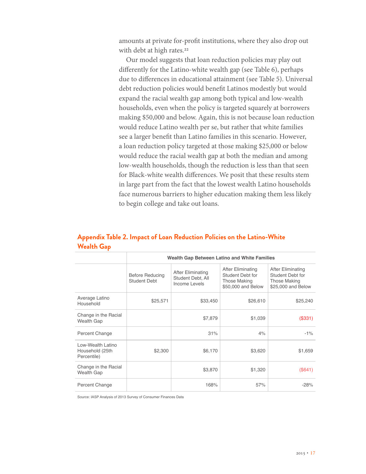amounts at private for-profit institutions, where they also drop out with debt at high rates.<sup>22</sup>

Our model suggests that loan reduction policies may play out differently for the Latino-white wealth gap (see Table 6), perhaps due to differences in educational attainment (see Table 5). Universal debt reduction policies would benefit Latinos modestly but would expand the racial wealth gap among both typical and low-wealth households, even when the policy is targeted squarely at borrowers making \$50,000 and below. Again, this is not because loan reduction would reduce Latino wealth per se, but rather that white families see a larger benefit than Latino families in this scenario. However, a loan reduction policy targeted at those making \$25,000 or below would reduce the racial wealth gap at both the median and among low-wealth households, though the reduction is less than that seen for Black-white wealth differences. We posit that these results stem in large part from the fact that the lowest wealth Latino households face numerous barriers to higher education making them less likely to begin college and take out loans.

|                                                     |                                        | Wealth Gap Between Latino and White Families                   |                                                                                    |                                                                                    |  |  |  |
|-----------------------------------------------------|----------------------------------------|----------------------------------------------------------------|------------------------------------------------------------------------------------|------------------------------------------------------------------------------------|--|--|--|
|                                                     | <b>Before Reducing</b><br>Student Debt | <b>After Eliminating</b><br>Student Debt, All<br>Income Levels | After Eliminating<br>Student Debt for<br><b>Those Making</b><br>\$50,000 and Below | After Eliminating<br>Student Debt for<br><b>Those Making</b><br>\$25,000 and Below |  |  |  |
| Average Latino<br>Household                         | \$25,571                               | \$33,450                                                       | \$26,610                                                                           | \$25,240                                                                           |  |  |  |
| Change in the Racial<br>Wealth Gap                  |                                        | \$7,879                                                        | \$1,039                                                                            | (\$331)                                                                            |  |  |  |
| Percent Change                                      |                                        | 31%                                                            | 4%                                                                                 | $-1%$                                                                              |  |  |  |
| Low-Wealth Latino<br>Household (25th<br>Percentile) | \$2,300                                | \$6,170                                                        | \$3,620                                                                            | \$1,659                                                                            |  |  |  |
| Change in the Racial<br>Wealth Gap                  |                                        | \$3,870                                                        | \$1,320                                                                            | (S641)                                                                             |  |  |  |
| Percent Change                                      |                                        | 168%                                                           | 57%                                                                                | $-28%$                                                                             |  |  |  |

## **Appendix Table 2. Impact of Loan Reduction Policies on the Latino-White Wealth Gap**

Source: IASP Analysis of 2013 Survey of Consumer Finances Data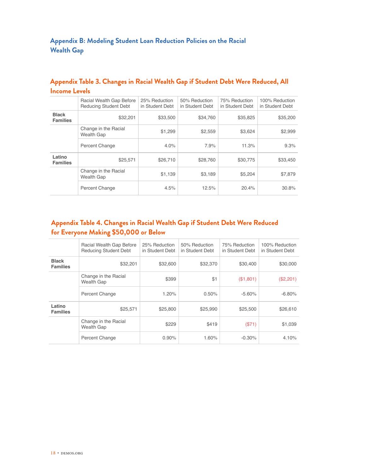## **Appendix B: Modeling Student Loan Reduction Policies on the Racial Wealth Gap**

|                                 | Racial Wealth Gap Before<br><b>Reducing Student Debt</b> | 25% Reduction<br>in Student Debt | 50% Reduction<br>in Student Debt | 75% Reduction<br>in Student Debt | 100% Reduction<br>in Student Debt |
|---------------------------------|----------------------------------------------------------|----------------------------------|----------------------------------|----------------------------------|-----------------------------------|
| <b>Black</b><br><b>Families</b> | \$32,201                                                 | \$33,500                         | \$34.760                         | \$35,825                         | \$35,200                          |
|                                 | Change in the Racial<br>Wealth Gap                       | \$1,299                          | \$2,559                          | \$3,624                          | \$2,999                           |
|                                 | Percent Change                                           | 4.0%                             | 7.9%                             | 11.3%                            | 9.3%                              |
| Latino<br><b>Families</b>       | \$25,571                                                 | \$26,710                         | \$28,760                         | \$30,775                         | \$33,450                          |
|                                 | Change in the Racial<br>Wealth Gap                       | \$1,139                          | \$3,189                          | \$5.204                          | \$7,879                           |
|                                 | Percent Change                                           | 4.5%                             | 12.5%                            | 20.4%                            | 30.8%                             |

## **Appendix Table 3. Changes in Racial Wealth Gap if Student Debt Were Reduced, All Income Levels**

## **Appendix Table 4. Changes in Racial Wealth Gap if Student Debt Were Reduced for Everyone Making \$50,000 or Below**

|                                 | Racial Wealth Gap Before<br><b>Reducing Student Debt</b> | 25% Reduction<br>in Student Debt | 50% Reduction<br>in Student Debt | 75% Reduction<br>in Student Debt | 100% Reduction<br>in Student Debt |
|---------------------------------|----------------------------------------------------------|----------------------------------|----------------------------------|----------------------------------|-----------------------------------|
| <b>Black</b><br><b>Families</b> | \$32,201                                                 | \$32,600                         | \$32,370                         | \$30,400                         | \$30,000                          |
|                                 | Change in the Racial<br>Wealth Gap                       | \$399                            | \$1                              | (\$1,801)                        | (\$2,201)                         |
|                                 | Percent Change                                           | 1.20%                            | 0.50%                            | $-5.60%$                         | $-6.80%$                          |
| Latino<br><b>Families</b>       | \$25,571                                                 | \$25,800                         | \$25,990                         | \$25,500                         | \$26,610                          |
|                                 | Change in the Racial<br><b>Wealth Gap</b>                | \$229                            | \$419                            | (S71)                            | \$1,039                           |
|                                 | Percent Change                                           | 0.90%                            | 1.60%                            | $-0.30%$                         | 4.10%                             |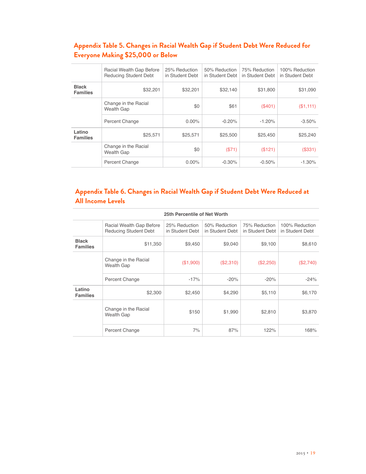## **Appendix Table 5. Changes in Racial Wealth Gap if Student Debt Were Reduced for Everyone Making \$25,000 or Below**

|                                 | Racial Wealth Gap Before<br><b>Reducing Student Debt</b> | 25% Reduction<br>in Student Debt | 50% Reduction<br>in Student Debt | 75% Reduction<br>in Student Debt | 100% Reduction<br>in Student Debt |
|---------------------------------|----------------------------------------------------------|----------------------------------|----------------------------------|----------------------------------|-----------------------------------|
| <b>Black</b><br><b>Families</b> | \$32,201                                                 | \$32,201                         | \$32.140                         | \$31,800                         | \$31,090                          |
|                                 | Change in the Racial<br><b>Wealth Gap</b>                | \$0                              | \$61                             | (\$401)                          | (\$1,111)                         |
|                                 | Percent Change                                           | $0.00\%$                         | $-0.20%$                         | $-1.20%$                         | $-3.50%$                          |
| Latino<br><b>Families</b>       | \$25,571                                                 | \$25,571                         | \$25,500                         | \$25,450                         | \$25,240                          |
|                                 | Change in the Racial<br><b>Wealth Gap</b>                | \$0                              | (S71)                            | (\$121)                          | (\$331)                           |
|                                 | Percent Change                                           | $0.00\%$                         | $-0.30%$                         | $-0.50%$                         | $-1.30%$                          |

## **Appendix Table 6. Changes in Racial Wealth Gap if Student Debt Were Reduced at All Income Levels**

| 25th Percentile of Net Worth    |                                                          |                                  |                                  |                                  |                                   |  |
|---------------------------------|----------------------------------------------------------|----------------------------------|----------------------------------|----------------------------------|-----------------------------------|--|
|                                 | Racial Wealth Gap Before<br><b>Reducing Student Debt</b> | 25% Reduction<br>in Student Debt | 50% Reduction<br>in Student Debt | 75% Reduction<br>in Student Debt | 100% Reduction<br>in Student Debt |  |
| <b>Black</b><br><b>Families</b> | \$11,350                                                 | \$9,450                          | \$9,040                          | \$9,100                          | \$8,610                           |  |
|                                 | Change in the Racial<br>Wealth Gap                       | (\$1,900)                        | (\$2,310)                        | (\$2,250)                        | (\$2,740)                         |  |
|                                 | Percent Change                                           | $-17%$                           | $-20%$                           | $-20%$                           | $-24%$                            |  |
| Latino<br><b>Families</b>       | \$2,300                                                  | \$2,450                          | \$4,290                          | \$5,110                          | \$6,170                           |  |
|                                 | Change in the Racial<br>Wealth Gap                       | \$150                            | \$1,990                          | \$2,810                          | \$3,870                           |  |
|                                 | Percent Change                                           | 7%                               | 87%                              | 122%                             | 168%                              |  |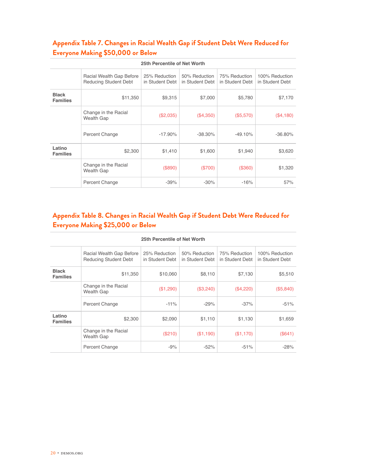## **Appendix Table 7. Changes in Racial Wealth Gap if Student Debt Were Reduced for Everyone Making \$50,000 or Below**

| 25th Percentile of Net Worth    |                                                          |                                  |                                  |                                  |                                   |  |  |
|---------------------------------|----------------------------------------------------------|----------------------------------|----------------------------------|----------------------------------|-----------------------------------|--|--|
|                                 | Racial Wealth Gap Before<br><b>Reducing Student Debt</b> | 25% Reduction<br>in Student Debt | 50% Reduction<br>in Student Debt | 75% Reduction<br>in Student Debt | 100% Reduction<br>in Student Debt |  |  |
| <b>Black</b><br><b>Families</b> | \$11,350                                                 | \$9,315                          | \$7,000                          | \$5,780                          | \$7,170                           |  |  |
|                                 | Change in the Racial<br><b>Wealth Gap</b>                | (\$2,035)                        | (\$4,350)                        | (\$5,570)                        | (\$4,180)                         |  |  |
|                                 | Percent Change                                           | $-17.90\%$                       | $-38.30\%$                       | $-49.10%$                        | $-36.80\%$                        |  |  |
| Latino<br><b>Families</b>       | \$2,300                                                  | \$1,410                          | \$1,600                          | \$1,940                          | \$3,620                           |  |  |
|                                 | Change in the Racial<br>Wealth Gap                       | (\$890)                          | (\$700)                          | (\$360)                          | \$1,320                           |  |  |
|                                 | Percent Change                                           | $-39%$                           | $-30%$                           | $-16%$                           | 57%                               |  |  |

## **Appendix Table 8. Changes in Racial Wealth Gap if Student Debt Were Reduced for Everyone Making \$25,000 or Below**

| 25th Percentile of Net Worth    |                                                          |                                  |                                  |                                  |                                   |  |
|---------------------------------|----------------------------------------------------------|----------------------------------|----------------------------------|----------------------------------|-----------------------------------|--|
|                                 | Racial Wealth Gap Before<br><b>Reducing Student Debt</b> | 25% Reduction<br>in Student Debt | 50% Reduction<br>in Student Debt | 75% Reduction<br>in Student Debt | 100% Reduction<br>in Student Debt |  |
| <b>Black</b><br><b>Families</b> | \$11,350                                                 | \$10,060                         | \$8,110                          | \$7,130                          | \$5,510                           |  |
|                                 | Change in the Racial<br>Wealth Gap                       | (\$1,290)                        | (\$3,240)                        | (\$4,220)                        | (\$5,840)                         |  |
|                                 | Percent Change                                           | $-11%$                           | $-29%$                           | $-37%$                           | $-51%$                            |  |
| Latino<br><b>Families</b>       | \$2,300                                                  | \$2,090                          | \$1,110                          | \$1,130                          | \$1,659                           |  |
|                                 | Change in the Racial<br><b>Wealth Gap</b>                | (S210)                           | (\$1,190)                        | (\$1,170)                        | (\$641)                           |  |
|                                 | Percent Change                                           | $-9%$                            | $-52%$                           | $-51%$                           | $-28%$                            |  |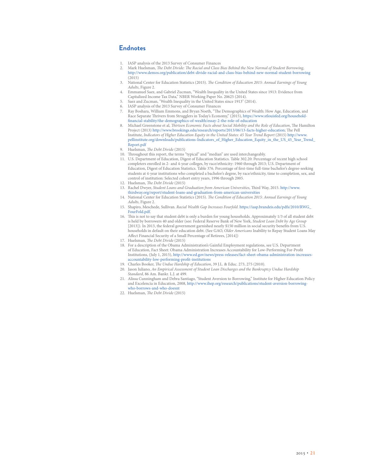#### **Endnotes**

- 1. IASP analysis of the 2013 Survey of Consumer Finances<br>2. Mark Huelsman, *The Debt Divide: The Racial and Class F*
- 2. Mark Huelsman, *The Debt Divide: The Racial and Class Bias Behind the New Normal of Student Borrowing*, <http://www.demos.org/publication/debt-divide-racial-and-class-bias-behind-new-normal-student-borrowing>  $(2015)$
- 3. National Center for Education Statistics (2015). *The Condition of Education 2015: Annual Earnings of Young Adults*, Figure 2.
- 4. Emmanuel Saez, and Gabriel Zucman, "Wealth Inequality in the United States since 1913: Evidence from Capitalized Income Tax Data," NBER Working Paper No. 20625 (2014).
- 5. Saez and Zucman, "Wealth Inequality in the United States since 1913" (2014).
- 6. IASP analysis of the 2013 Survey of Consumer Finances
- 7. Ray Boshara, William Emmons, and Bryan Noeth, "The Demographics of Wealth: How Age, Education, and Race Separate Thrivers from Strugglers in Today's Economy," (2015), [https://www.stlouisfed.org/household](https://www.stlouisfed.org/household-financial-stability/the-demographics-of-wealth/essay-2-the-role-of-education)[financial-stability/the-demographics-of-wealth/essay-2-the-role-of-education](https://www.stlouisfed.org/household-financial-stability/the-demographics-of-wealth/essay-2-the-role-of-education)
- 8. Michael Greenstone et al, *Thirteen Economic Facts about Social Mobility and the Role of Education*, The Hamilton Project (2013)<http://www.brookings.edu/research/reports/2013/06/13-facts-higher-education>; The Pell Institute, *Indicators of Higher Education Equity in the United States: 45 Year Trend Report* (2015) [http://www.](http://www.pellinstitute.org/downloads/publications-Indicators_of_Higher_Education_Equity_in_the_US_45_Year_Trend_Report.pdf) [pellinstitute.org/downloads/publications-Indicators\\_of\\_Higher\\_Education\\_Equity\\_in\\_the\\_US\\_45\\_Year\\_Trend\\_](http://www.pellinstitute.org/downloads/publications-Indicators_of_Higher_Education_Equity_in_the_US_45_Year_Trend_Report.pdf) [Report.pdf](http://www.pellinstitute.org/downloads/publications-Indicators_of_Higher_Education_Equity_in_the_US_45_Year_Trend_Report.pdf)
- 9. Huelsman, *The Debt Divide* (2015)
- 10. Throughout this report, the terms "typical" and "median" are used interchangeably.
- 11. U.S. Department of Education, Digest of Education Statistics. Table 302.20: Percentage of recent high school completers enrolled in 2- and 4-year colleges, by race/ethnicity: 1960 through 2013; U.S. Department of Education, Digest of Education Statistics. Table 376. Percentage of first-time full-time bachelor's degree-seeking students at 4-year institutions who completed a bachelor's degree, by race/ethnicity, time to completion, sex, and control of institution: Selected cohort entry years, 1996 through 2005.
- 12. Huelsman, *The Debt Divide* (2015)
- 13. Rachel Dwyer, *Student Loans and Graduation from American Universities*, Third Way, 2015. [http://www.](http://www.thirdway.org/report/student-loans-and-graduation-from-american-universities) [thirdway.org/report/student-loans-and-graduation-from-american-universities](http://www.thirdway.org/report/student-loans-and-graduation-from-american-universities)
- 14. National Center for Education Statistics (2015). *The Condition of Education 2015: Annual Earnings of Young Adults*, Figure 2.
- 15. Shapiro, Meschede, Sullivan. *Racial Wealth Gap Increases Fourfold*. [https://iasp.brandeis.edu/pdfs/2010/RWG\\_](https://iasp.brandeis.edu/pdfs/2010/RWG_FourFold.pdf) [FourFold.pdf.](https://iasp.brandeis.edu/pdfs/2010/RWG_FourFold.pdf)
- 16. This is not to say that student debt is only a burden for young households. Approximately 1/3 of all student debt is held by borrowers 40 and older (see: Federal Reserve Bank of New York, *Student Loan Debt by Age Group*  [2013]). In 2013, the federal government garnished nearly \$150 million in social security benefits from U.S. households in default on their education debt. (See GAO, *Older Americans* Inability to Repay Student Loans May Affect Financial Security of a Small Percentage of Retirees, [2014])
- 17. Huelsman, *The Debt Divide* (2015)
- 18. For a description of the Obama Administration's Gainful Employment regulations, see U.S. Department of Education, Fact Sheet: Obama Administration Increases Accountability for Low-Performing For-Profit Institutions, (July 1, 2015), [http://www.ed.gov/news/press-releases/fact-sheet-obama-administration-increases](http://www.ed.gov/news/press-releases/fact-sheet-obama-administration-increases-accountability-low-performing-profit-institutions)[accountability-low-performing-profit-institutions](http://www.ed.gov/news/press-releases/fact-sheet-obama-administration-increases-accountability-low-performing-profit-institutions)
- 19. Charles Booker, *The Undue Hardship of Education*, 39 J.L. & Educ. 273, 275 (2010).
- 20. Jason Iuliano, *An Empirical Assessment of Student Loan Discharges and the Bankruptcy Undue Hardship Standard*, 86 Am. Bankr. L.J. at 499.
- 21. Alissa Cunningham and Debra Santiago, "Student Aversion to Borrowing," Institute for Higher Education Policy and Excelencia in Education, 2008, [http://www.ihep.org/research/publications/student-aversion-borrowing](http://www.ihep.org/research/publications/student-aversion-borrowing-who-borrows-and-who-doesnt)[who-borrows-and-who-doesnt](http://www.ihep.org/research/publications/student-aversion-borrowing-who-borrows-and-who-doesnt)
- 22. Huelsman, *The Debt Divide* (2015)